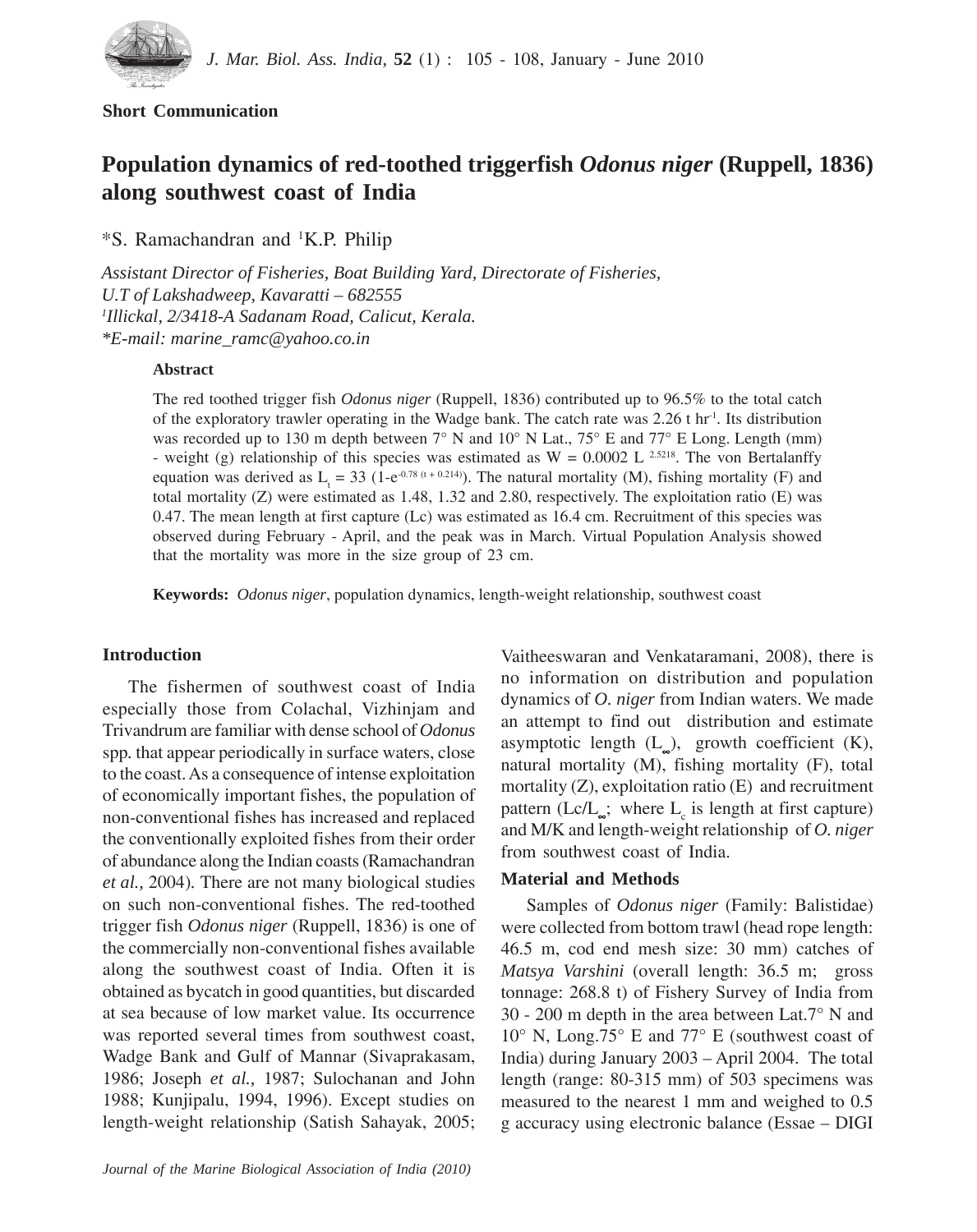

# **Short Communication**

# **Population dynamics of red-toothed triggerfish** *Odonus niger* **(Ruppell, 1836) along southwest coast of India**

\*S. Ramachandran and 1 K.P. Philip

*Assistant Director of Fisheries, Boat Building Yard, Directorate of Fisheries, U.T of Lakshadweep, Kavaratti – 682555 1 Illickal, 2/3418-A Sadanam Road, Calicut, Kerala. \*E-mail: marine\_ramc@yahoo.co.in*

#### **Abstract**

The red toothed trigger fish *Odonus niger* (Ruppell, 1836) contributed up to 96.5% to the total catch of the exploratory trawler operating in the Wadge bank. The catch rate was 2.26 t hr<sup>1</sup>. Its distribution was recorded up to 130 m depth between  $7^{\circ}$  N and  $10^{\circ}$  N Lat.,  $75^{\circ}$  E and  $77^{\circ}$  E Long. Length (mm) - weight (g) relationship of this species was estimated as  $W = 0.0002$  L <sup>2.5218</sup>. The von Bertalanffy equation was derived as  $L_t = 33$  (1-e<sup>-0.78 (t+0.214)</sup>). The natural mortality (M), fishing mortality (F) and total mortality (Z) were estimated as 1.48, 1.32 and 2.80, respectively. The exploitation ratio (E) was 0.47. The mean length at first capture (Lc) was estimated as 16.4 cm. Recruitment of this species was observed during February - April, and the peak was in March. Virtual Population Analysis showed that the mortality was more in the size group of 23 cm.

**Keywords:** *Odonus niger*, population dynamics, length-weight relationship, southwest coast

# **Introduction**

The fishermen of southwest coast of India especially those from Colachal, Vizhinjam and Trivandrum are familiar with dense school of *Odonus* spp*.* that appear periodically in surface waters, close to the coast. As a consequence of intense exploitation of economically important fishes, the population of non-conventional fishes has increased and replaced the conventionally exploited fishes from their order of abundance along the Indian coasts (Ramachandran *et al.,* 2004)*.* There are not many biological studies on such non-conventional fishes. The red-toothed trigger fish *Odonus niger* (Ruppell, 1836) is one of the commercially non-conventional fishes available along the southwest coast of India. Often it is obtained as bycatch in good quantities, but discarded at sea because of low market value. Its occurrence was reported several times from southwest coast, Wadge Bank and Gulf of Mannar (Sivaprakasam, 1986; Joseph *et al.,* 1987; Sulochanan and John 1988; Kunjipalu, 1994, 1996). Except studies on length-weight relationship (Satish Sahayak, 2005; Vaitheeswaran and Venkataramani, 2008), there is no information on distribution and population dynamics of *O. niger* from Indian waters. We made an attempt to find out distribution and estimate asymptotic length  $(L_$ ), growth coefficient  $(K)$ , natural mortality (M), fishing mortality (F), total mortality (Z), exploitation ratio (E) and recruitment pattern (Lc/L<sub>∞</sub>; where  $L_c$  is length at first capture) and M/K and length-weight relationship of *O. niger* from southwest coast of India.

# **Material and Methods**

Samples of *Odonus niger* (Family: Balistidae) were collected from bottom trawl (head rope length: 46.5 m, cod end mesh size: 30 mm) catches of *Matsya Varshini* (overall length: 36.5 m; gross tonnage: 268.8 t) of Fishery Survey of India from 30 - 200 m depth in the area between Lat.7° N and 10° N, Long.75° E and 77° E (southwest coast of India) during January 2003 – April 2004. The total length (range: 80-315 mm) of 503 specimens was measured to the nearest 1 mm and weighed to 0.5 g accuracy using electronic balance (Essae – DIGI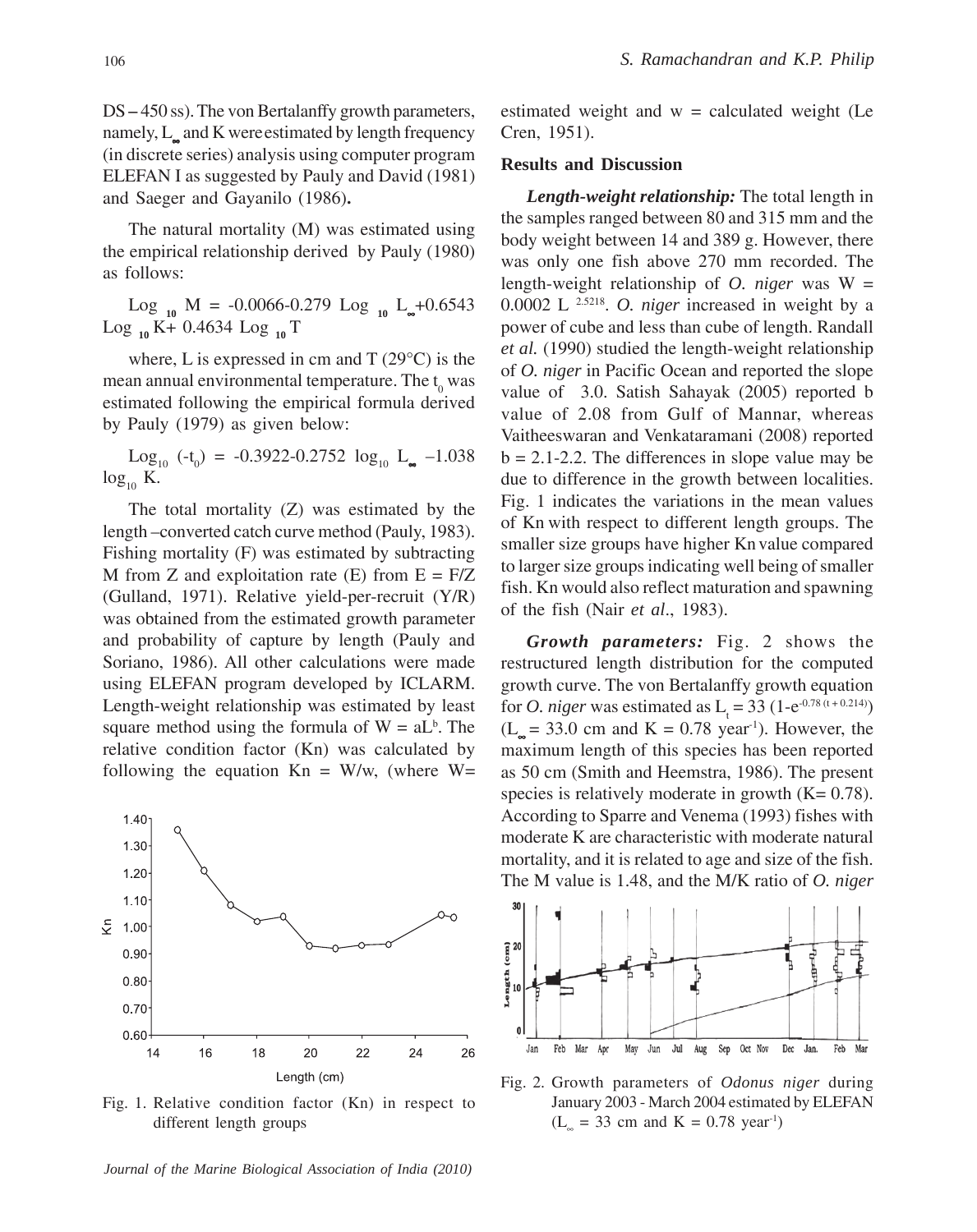DS **–** 450 ss). The von Bertalanffy growth parameters, namely, L<sub>∞</sub> and K were estimated by length frequency (in discrete series) analysis using computer program ELEFAN I as suggested by Pauly and David (1981) and Saeger and Gayanilo (1986)**.**

The natural mortality (M) was estimated using the empirical relationship derived by Pauly (1980) as follows:

Log  $_{10}$  M = -0.0066-0.279 Log  $_{10}$  L<sub>∞</sub>+0.6543 Log **<sup>10</sup>** K+ 0.4634 Log **10** T

where, L is expressed in cm and  $T(29^{\circ}C)$  is the mean annual environmental temperature. The  $t_0$  was estimated following the empirical formula derived by Pauly (1979) as given below:

Log<sub>10</sub> (-t<sub>0</sub>) = -0.3922-0.2752  $log_{10} L_{\infty}$  -1.038  $log_{10} K$ .

The total mortality (Z) was estimated by the length –converted catch curve method (Pauly, 1983). Fishing mortality (F) was estimated by subtracting M from Z and exploitation rate  $(E)$  from  $E = F/Z$ (Gulland, 1971). Relative yield-per-recruit (Y/R) was obtained from the estimated growth parameter and probability of capture by length (Pauly and Soriano, 1986). All other calculations were made using ELEFAN program developed by ICLARM. Length-weight relationship was estimated by least square method using the formula of  $W = aL<sup>b</sup>$ . The relative condition factor (Kn) was calculated by following the equation  $Kn = W/w$ , (where  $W=$ 



Fig. 1. Relative condition factor (Kn) in respect to different length groups

*Journal of the Marine Biological Association of India (2010)*

estimated weight and  $w =$  calculated weight (Le Cren, 1951).

#### **Results and Discussion**

*Length-weight relationship:* The total length in the samples ranged between 80 and 315 mm and the body weight between 14 and 389 g. However, there was only one fish above 270 mm recorded. The length-weight relationship of *O. niger* was W = 0.0002 L 2.5218. *O. niger* increased in weight by a power of cube and less than cube of length. Randall *et al.* (1990) studied the length-weight relationship of *O. niger* in Pacific Ocean and reported the slope value of 3.0. Satish Sahayak (2005) reported b value of 2.08 from Gulf of Mannar, whereas Vaitheeswaran and Venkataramani (2008) reported  $b = 2.1 - 2.2$ . The differences in slope value may be due to difference in the growth between localities. Fig. 1 indicates the variations in the mean values of Kn with respect to different length groups. The smaller size groups have higher Kn value compared to larger size groups indicating well being of smaller fish. Kn would also reflect maturation and spawning of the fish (Nair *et al*., 1983).

*Growth parameters:* Fig. 2 shows the restructured length distribution for the computed growth curve. The von Bertalanffy growth equation for *O. niger* was estimated as  $L_t = 33 (1-e^{-0.78 (t + 0.214)})$  $(L<sub>n</sub> = 33.0$  cm and  $K = 0.78$  year<sup>-1</sup>). However, the maximum length of this species has been reported as 50 cm (Smith and Heemstra, 1986). The present species is relatively moderate in growth  $(K= 0.78)$ . According to Sparre and Venema (1993) fishes with moderate K are characteristic with moderate natural mortality, and it is related to age and size of the fish. The M value is 1.48, and the M/K ratio of *O. niger*



Fig. 2. Growth parameters of *Odonus niger* during January 2003 - March 2004 estimated by ELEFAN  $(L<sub>∞</sub> = 33 cm and K = 0.78 year<sup>-1</sup>)$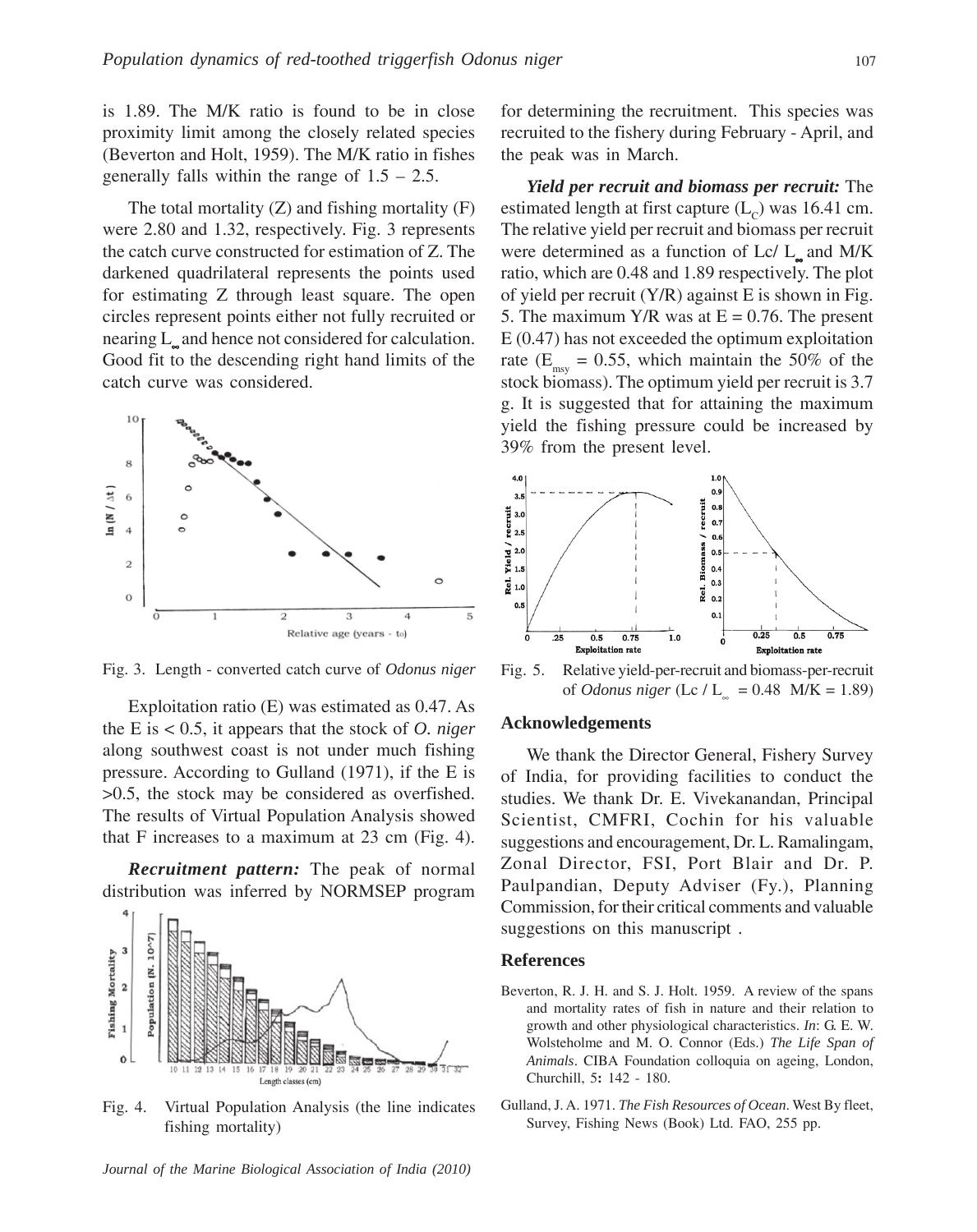is 1.89. The M/K ratio is found to be in close proximity limit among the closely related species (Beverton and Holt, 1959). The M/K ratio in fishes generally falls within the range of  $1.5 - 2.5$ .

The total mortality  $(Z)$  and fishing mortality  $(F)$ were 2.80 and 1.32, respectively. Fig. 3 represents the catch curve constructed for estimation of Z. The darkened quadrilateral represents the points used for estimating Z through least square. The open circles represent points either not fully recruited or nearing L<sub>∞</sub> and hence not considered for calculation. Good fit to the descending right hand limits of the catch curve was considered.



Fig. 3. Length - converted catch curve of *Odonus niger*

Exploitation ratio (E) was estimated as 0.47. As the E is < 0.5, it appears that the stock of *O. niger* along southwest coast is not under much fishing pressure. According to Gulland (1971), if the E is >0.5, the stock may be considered as overfished. The results of Virtual Population Analysis showed that F increases to a maximum at 23 cm (Fig. 4).

*Recruitment pattern:* The peak of normal distribution was inferred by NORMSEP program



Fig. 4. Virtual Population Analysis (the line indicates fishing mortality)

*Journal of the Marine Biological Association of India (2010)*

for determining the recruitment. This species was recruited to the fishery during February - April, and the peak was in March.

*Yield per recruit and biomass per recruit:* The estimated length at first capture  $(L<sub>c</sub>)$  was 16.41 cm. The relative yield per recruit and biomass per recruit were determined as a function of  $Lc/L_{a}$  and M/K ratio, which are 0.48 and 1.89 respectively. The plot of yield per recruit  $(Y/R)$  against E is shown in Fig. 5. The maximum Y/R was at  $E = 0.76$ . The present E (0.47) has not exceeded the optimum exploitation rate ( $E_{\text{mes}} = 0.55$ , which maintain the 50% of the stock biomass). The optimum yield per recruit is 3.7 g. It is suggested that for attaining the maximum yield the fishing pressure could be increased by 39% from the present level.



Fig. 5. Relative yield-per-recruit and biomass-per-recruit of *Odonus niger* (Lc / L<sub>∞</sub> = 0.48 M/K = 1.89)

#### **Acknowledgements**

We thank the Director General, Fishery Survey of India, for providing facilities to conduct the studies. We thank Dr. E. Vivekanandan, Principal Scientist, CMFRI, Cochin for his valuable suggestions and encouragement, Dr. L. Ramalingam, Zonal Director, FSI, Port Blair and Dr. P. Paulpandian, Deputy Adviser (Fy.), Planning Commission, for their critical comments and valuable suggestions on this manuscript .

#### **References**

- Beverton, R. J. H. and S. J. Holt. 1959. A review of the spans and mortality rates of fish in nature and their relation to growth and other physiological characteristics. *In*: G. E. W. Wolsteholme and M. O. Connor (Eds.) *The Life Span of Animals*. CIBA Foundation colloquia on ageing, London, Churchill, 5**:** 142 - 180.
- Gulland, J. A. 1971. *The Fish Resources of Ocean*. West By fleet, Survey, Fishing News (Book) Ltd. FAO, 255 pp.